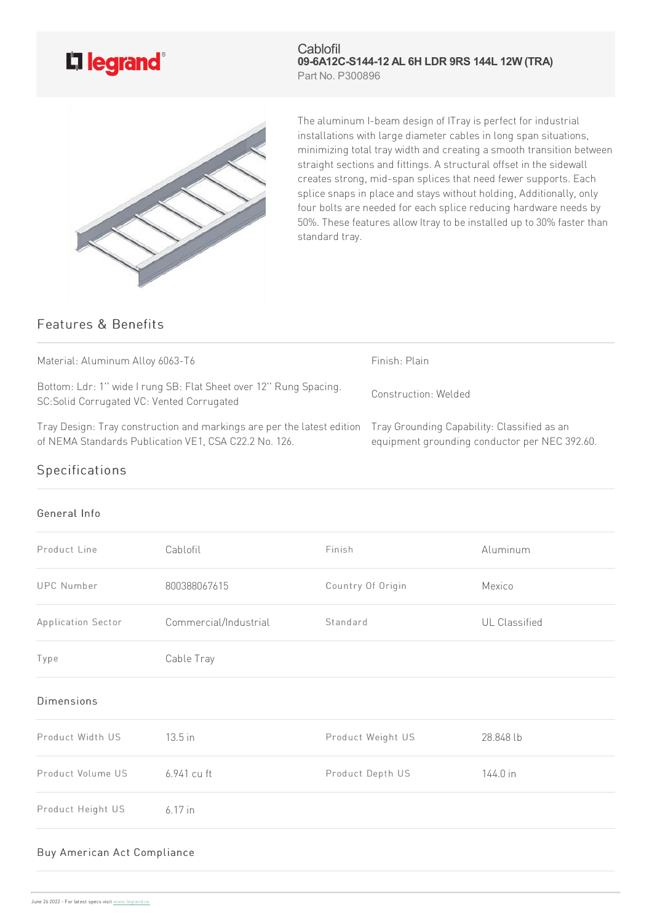# L<sub>legrand</sub>®

**Cablofil 09-6A12C-S144-12 AL 6H LDR 9RS 144L 12W (TRA)** Part No. P300896



The aluminum I-beam design of ITray is perfect for industrial installations with large diameter cables in long span situations, minimizing total tray width and creating a smooth transition between straight sections and fittings. A structural offset in the sidewall creates strong, mid-span splices that need fewer supports. Each splice snaps in place and stays without holding, Additionally, only four bolts are needed for each splice reducing hardware needs by 50%. These features allow Itray to be installed up to 30% faster than standard tray.

## Features & Benefits

| Material: Aluminum Alloy 6063-T6                                                                                                                                            | Finish: Plain                                 |
|-----------------------------------------------------------------------------------------------------------------------------------------------------------------------------|-----------------------------------------------|
| Bottom: Ldr: 1" wide I rung SB: Flat Sheet over 12" Rung Spacing.<br>SC: Solid Corrugated VC: Vented Corrugated                                                             | Construction: Welded                          |
| Tray Design: Tray construction and markings are per the latest edition Tray Grounding Capability: Classified as an<br>of NEMA Standards Publication VE1, CSA C22.2 No. 126. | equipment grounding conductor per NEC 392.60. |

## Specifications

#### General Info

| Product Line       | Cablofil              | Finish            | Aluminum      |
|--------------------|-----------------------|-------------------|---------------|
| <b>UPC Number</b>  | 800388067615          | Country Of Origin | Mexico        |
| Application Sector | Commercial/Industrial | Standard          | UL Classified |
| Type               | Cable Tray            |                   |               |
| <b>Dimensions</b>  |                       |                   |               |
| Product Width US   | 13.5 in               | Product Weight US | 28.848 lb     |
| Product Volume US  | 6.941 cu ft           | Product Depth US  | 144.0 in      |
| Product Height US  | $6.17$ in             |                   |               |
|                    |                       |                   |               |

#### Buy American Act Compliance